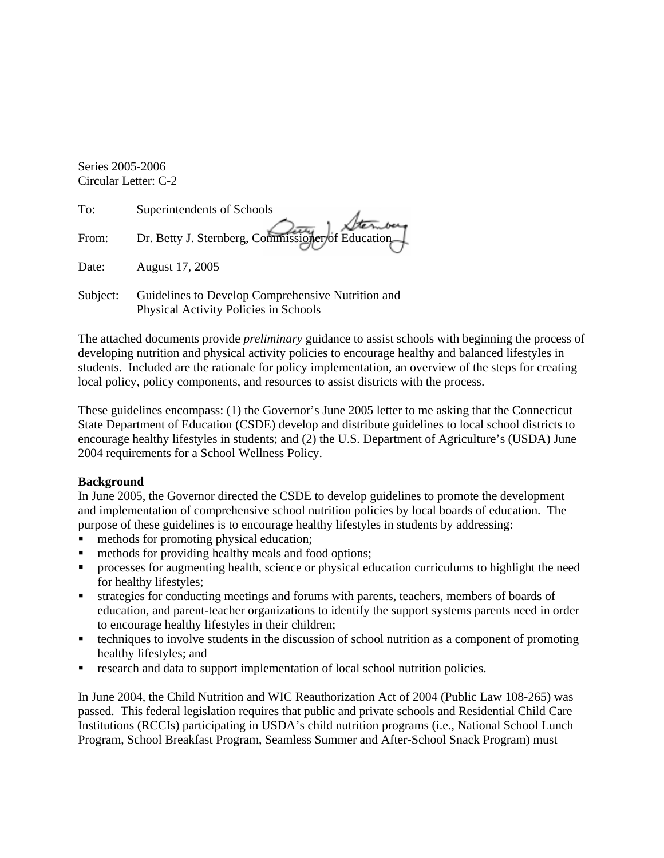Series 2005-2006 Circular Letter: C-2

| To:         | Superintendents of Schools                        |
|-------------|---------------------------------------------------|
| From:       | Dr. Betty J. Sternberg, Commissioner of Education |
| Date:       | August 17, 2005                                   |
| $S$ uhiect: | Guidelines to Develop Comprehensive Nutrition and |

Subject: Guidelines to Develop Comprehensive Nutrition and Physical Activity Policies in Schools

The attached documents provide *preliminary* guidance to assist schools with beginning the process of developing nutrition and physical activity policies to encourage healthy and balanced lifestyles in students. Included are the rationale for policy implementation, an overview of the steps for creating local policy, policy components, and resources to assist districts with the process.

These guidelines encompass: (1) the Governor's June 2005 letter to me asking that the Connecticut State Department of Education (CSDE) develop and distribute guidelines to local school districts to encourage healthy lifestyles in students; and (2) the U.S. Department of Agriculture's (USDA) June 2004 requirements for a School Wellness Policy.

### **Background**

In June 2005, the Governor directed the CSDE to develop guidelines to promote the development and implementation of comprehensive school nutrition policies by local boards of education. The purpose of these guidelines is to encourage healthy lifestyles in students by addressing:

- methods for promoting physical education;
- methods for providing healthy meals and food options;
- processes for augmenting health, science or physical education curriculums to highlight the need for healthy lifestyles;
- ° strategies for conducting meetings and forums with parents, teachers, members of boards of education, and parent-teacher organizations to identify the support systems parents need in order to encourage healthy lifestyles in their children;
- ° techniques to involve students in the discussion of school nutrition as a component of promoting healthy lifestyles; and
- research and data to support implementation of local school nutrition policies.

In June 2004, the Child Nutrition and WIC Reauthorization Act of 2004 (Public Law 108-265) was passed. This federal legislation requires that public and private schools and Residential Child Care Institutions (RCCIs) participating in USDA's child nutrition programs (i.e., National School Lunch Program, School Breakfast Program, Seamless Summer and After-School Snack Program) must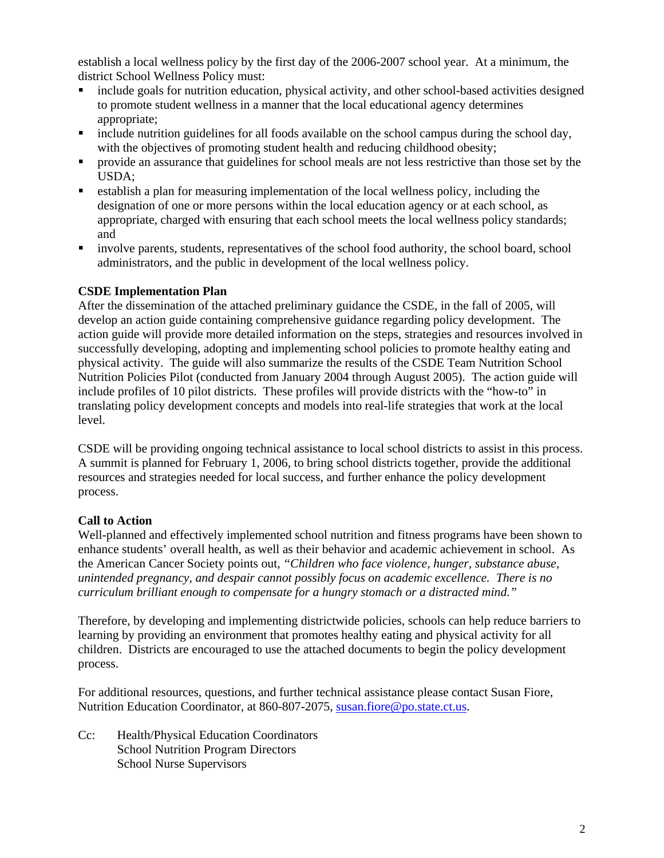establish a local wellness policy by the first day of the 2006-2007 school year. At a minimum, the district School Wellness Policy must:

- include goals for nutrition education, physical activity, and other school-based activities designed to promote student wellness in a manner that the local educational agency determines appropriate;
- include nutrition guidelines for all foods available on the school campus during the school day, with the objectives of promoting student health and reducing childhood obesity;
- provide an assurance that guidelines for school meals are not less restrictive than those set by the USDA;
- ° establish a plan for measuring implementation of the local wellness policy, including the designation of one or more persons within the local education agency or at each school, as appropriate, charged with ensuring that each school meets the local wellness policy standards; and
- involve parents, students, representatives of the school food authority, the school board, school administrators, and the public in development of the local wellness policy.

### **CSDE Implementation Plan**

After the dissemination of the attached preliminary guidance the CSDE, in the fall of 2005, will develop an action guide containing comprehensive guidance regarding policy development. The action guide will provide more detailed information on the steps, strategies and resources involved in successfully developing, adopting and implementing school policies to promote healthy eating and physical activity. The guide will also summarize the results of the CSDE Team Nutrition School Nutrition Policies Pilot (conducted from January 2004 through August 2005). The action guide will include profiles of 10 pilot districts. These profiles will provide districts with the "how-to" in translating policy development concepts and models into real-life strategies that work at the local level.

CSDE will be providing ongoing technical assistance to local school districts to assist in this process. A summit is planned for February 1, 2006, to bring school districts together, provide the additional resources and strategies needed for local success, and further enhance the policy development process.

## **Call to Action**

Well-planned and effectively implemented school nutrition and fitness programs have been shown to enhance students' overall health, as well as their behavior and academic achievement in school. As the American Cancer Society points out, *"Children who face violence, hunger, substance abuse, unintended pregnancy, and despair cannot possibly focus on academic excellence. There is no curriculum brilliant enough to compensate for a hungry stomach or a distracted mind."* 

Therefore, by developing and implementing districtwide policies, schools can help reduce barriers to learning by providing an environment that promotes healthy eating and physical activity for all children. Districts are encouraged to use the attached documents to begin the policy development process.

For additional resources, questions, and further technical assistance please contact Susan Fiore, Nutrition Education Coordinator, at 860-807-2075, susan.fiore@po.state.ct.us.

Cc: Health/Physical Education Coordinators School Nutrition Program Directors School Nurse Supervisors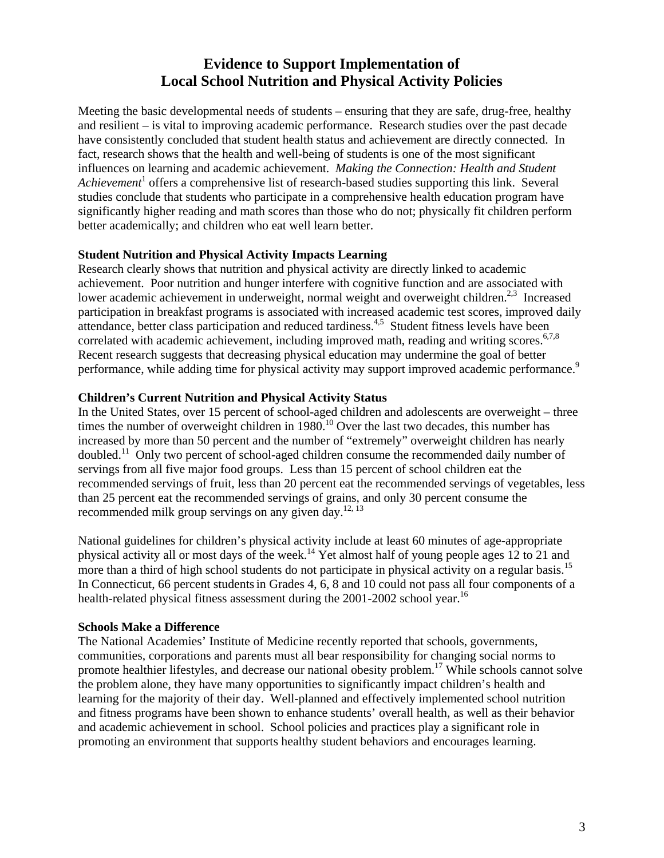# **Evidence to Support Implementation of Local School Nutrition and Physical Activity Policies**

Meeting the basic developmental needs of students – ensuring that they are safe, drug-free, healthy and resilient – is vital to improving academic performance. Research studies over the past decade have consistently concluded that student health status and achievement are directly connected. In fact, research shows that the health and well-being of students is one of the most significant influences on learning and academic achievement. *Making the Connection: Health and Student*  Achievement<sup>1</sup> offers a comprehensive list of research-based studies supporting this link. Several studies conclude that students who participate in a comprehensive health education program have significantly higher reading and math scores than those who do not; physically fit children perform better academically; and children who eat well learn better.

## **Student Nutrition and Physical Activity Impacts Learning**

Research clearly shows that nutrition and physical activity are directly linked to academic achievement. Poor nutrition and hunger interfere with cognitive function and are associated with lower academic achievement in underweight, normal weight and overweight children.<sup>2,3</sup> Increased participation in breakfast programs is associated with increased academic test scores, improved daily attendance, better class participation and reduced tardiness.<sup>4,5</sup> Student fitness levels have been correlated with academic achievement, including improved math, reading and writing scores.<sup>6,7,8</sup> Recent research suggests that decreasing physical education may undermine the goal of better performance, while adding time for physical activity may support improved academic performance.<sup>9</sup>

## **Children's Current Nutrition and Physical Activity Status**

In the United States, over 15 percent of school-aged children and adolescents are overweight – three times the number of overweight children in 1980.<sup>10</sup> Over the last two decades, this number has increased by more than 50 percent and the number of "extremely" overweight children has nearly doubled.11 Only two percent of school-aged children consume the recommended daily number of servings from all five major food groups. Less than 15 percent of school children eat the recommended servings of fruit, less than 20 percent eat the recommended servings of vegetables, less than 25 percent eat the recommended servings of grains, and only 30 percent consume the recommended milk group servings on any given day.<sup>12, 13</sup>

National guidelines for children's physical activity include at least 60 minutes of age-appropriate physical activity all or most days of the week.14 Yet almost half of young people ages 12 to 21 and more than a third of high school students do not participate in physical activity on a regular basis.<sup>15</sup> In Connecticut, 66 percent students in Grades 4, 6, 8 and 10 could not pass all four components of a health-related physical fitness assessment during the  $2001-2002$  school year.<sup>16</sup>

## **Schools Make a Difference**

The National Academies' Institute of Medicine recently reported that schools, governments, communities, corporations and parents must all bear responsibility for changing social norms to promote healthier lifestyles, and decrease our national obesity problem.<sup>17</sup> While schools cannot solve the problem alone, they have many opportunities to significantly impact children's health and learning for the majority of their day. Well-planned and effectively implemented school nutrition and fitness programs have been shown to enhance students' overall health, as well as their behavior and academic achievement in school. School policies and practices play a significant role in promoting an environment that supports healthy student behaviors and encourages learning.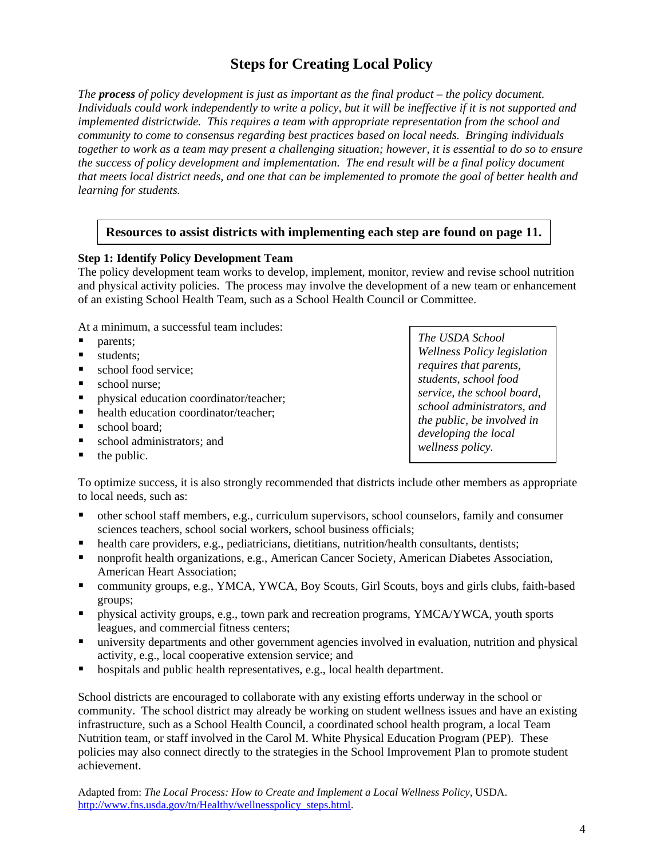# **Steps for Creating Local Policy**

*The process of policy development is just as important as the final product – the policy document. Individuals could work independently to write a policy, but it will be ineffective if it is not supported and implemented districtwide. This requires a team with appropriate representation from the school and community to come to consensus regarding best practices based on local needs. Bringing individuals together to work as a team may present a challenging situation; however, it is essential to do so to ensure the success of policy development and implementation. The end result will be a final policy document that meets local district needs, and one that can be implemented to promote the goal of better health and learning for students.* 

## **Resources to assist districts with implementing each step are found on page 11.**

#### **Step 1: Identify Policy Development Team**

The policy development team works to develop, implement, monitor, review and revise school nutrition and physical activity policies. The process may involve the development of a new team or enhancement of an existing School Health Team, such as a School Health Council or Committee.

At a minimum, a successful team includes:

- parents:
- students:
- school food service;
- school nurse;
- physical education coordinator/teacher;
- health education coordinator/teacher;
- $\blacksquare$  school board:
- school administrators; and
- $\blacksquare$  the public.

*The USDA School Wellness Policy legislation requires that parents, students, school food service, the school board, school administrators, and the public, be involved in developing the local wellness policy.* 

To optimize success, it is also strongly recommended that districts include other members as appropriate to local needs, such as:

- ° other school staff members, e.g., curriculum supervisors, school counselors, family and consumer sciences teachers, school social workers, school business officials;
- health care providers, e.g., pediatricians, dietitians, nutrition/health consultants, dentists;
- ° nonprofit health organizations, e.g., American Cancer Society, American Diabetes Association, American Heart Association;
- ° community groups, e.g., YMCA, YWCA, Boy Scouts, Girl Scouts, boys and girls clubs, faith-based groups;
- ° physical activity groups, e.g., town park and recreation programs, YMCA/YWCA, youth sports leagues, and commercial fitness centers;
- ° university departments and other government agencies involved in evaluation, nutrition and physical activity, e.g., local cooperative extension service; and
- hospitals and public health representatives, e.g., local health department.

School districts are encouraged to collaborate with any existing efforts underway in the school or community. The school district may already be working on student wellness issues and have an existing infrastructure, such as a School Health Council, a coordinated school health program, a local Team Nutrition team, or staff involved in the Carol M. White Physical Education Program (PEP). These policies may also connect directly to the strategies in the School Improvement Plan to promote student achievement.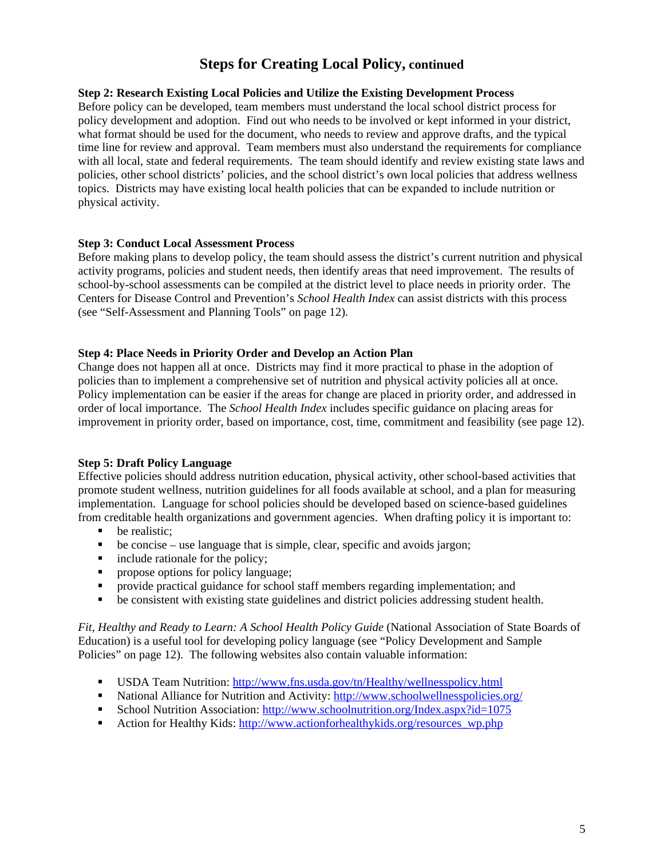# **Steps for Creating Local Policy, continued**

#### **Step 2: Research Existing Local Policies and Utilize the Existing Development Process**

Before policy can be developed, team members must understand the local school district process for policy development and adoption. Find out who needs to be involved or kept informed in your district, what format should be used for the document, who needs to review and approve drafts, and the typical time line for review and approval. Team members must also understand the requirements for compliance with all local, state and federal requirements. The team should identify and review existing state laws and policies, other school districts' policies, and the school district's own local policies that address wellness topics. Districts may have existing local health policies that can be expanded to include nutrition or physical activity.

#### **Step 3: Conduct Local Assessment Process**

Before making plans to develop policy, the team should assess the district's current nutrition and physical activity programs, policies and student needs, then identify areas that need improvement. The results of school-by-school assessments can be compiled at the district level to place needs in priority order. The Centers for Disease Control and Prevention's *School Health Index* can assist districts with this process (see "Self-Assessment and Planning Tools" on page 12).

#### **Step 4: Place Needs in Priority Order and Develop an Action Plan**

Change does not happen all at once. Districts may find it more practical to phase in the adoption of policies than to implement a comprehensive set of nutrition and physical activity policies all at once. Policy implementation can be easier if the areas for change are placed in priority order, and addressed in order of local importance. The *School Health Index* includes specific guidance on placing areas for improvement in priority order, based on importance, cost, time, commitment and feasibility (see page 12).

### **Step 5: Draft Policy Language**

Effective policies should address nutrition education, physical activity, other school-based activities that promote student wellness, nutrition guidelines for all foods available at school, and a plan for measuring implementation. Language for school policies should be developed based on science-based guidelines from creditable health organizations and government agencies. When drafting policy it is important to:

- be realistic;
- be concise use language that is simple, clear, specific and avoids jargon;
- include rationale for the policy;
- propose options for policy language;
- provide practical guidance for school staff members regarding implementation; and
- be consistent with existing state guidelines and district policies addressing student health.

*Fit, Healthy and Ready to Learn: A School Health Policy Guide* (National Association of State Boards of Education) is a useful tool for developing policy language (see "Policy Development and Sample Policies" on page 12). The following websites also contain valuable information:

- ° USDA Team Nutrition: <http://www.fns.usda.gov/tn/Healthy/wellnesspolicy.html>
- National Alliance for Nutrition and Activity: http://www.schoolwellnesspolicies.org/
- School Nutrition Association: http://www.schoolnutrition.org/Index.aspx?id=1075
- Action for Healthy Kids: http://www.actionforhealthykids.org/resources\_wp.php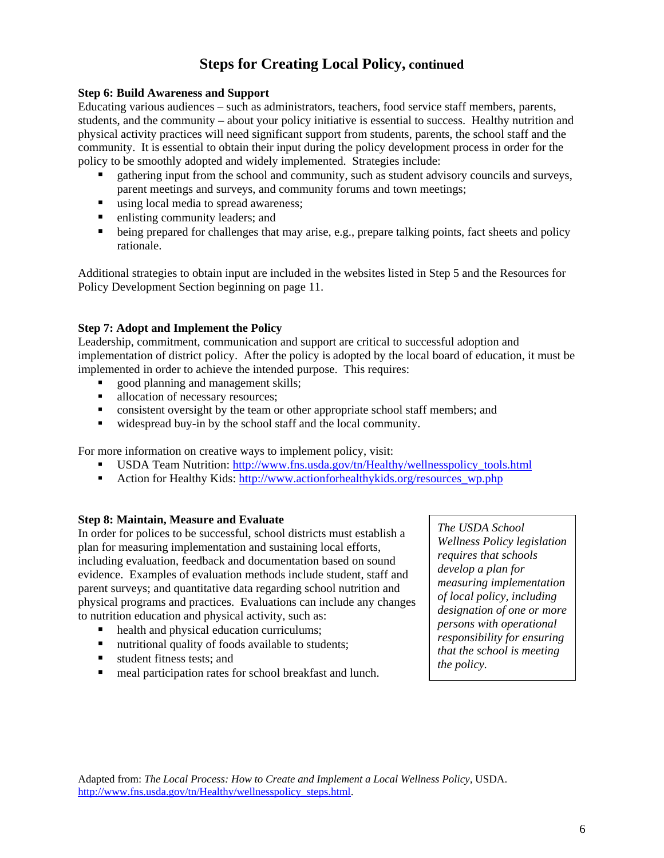# **Steps for Creating Local Policy, continued**

#### **Step 6: Build Awareness and Support**

Educating various audiences – such as administrators, teachers, food service staff members, parents, students, and the community – about your policy initiative is essential to success. Healthy nutrition and physical activity practices will need significant support from students, parents, the school staff and the community. It is essential to obtain their input during the policy development process in order for the policy to be smoothly adopted and widely implemented. Strategies include:

- ° gathering input from the school and community, such as student advisory councils and surveys, parent meetings and surveys, and community forums and town meetings;
- using local media to spread awareness;
- enlisting community leaders; and
- being prepared for challenges that may arise, e.g., prepare talking points, fact sheets and policy rationale.

Additional strategies to obtain input are included in the websites listed in Step 5 and the Resources for Policy Development Section beginning on page 11.

#### **Step 7: Adopt and Implement the Policy**

Leadership, commitment, communication and support are critical to successful adoption and implementation of district policy. After the policy is adopted by the local board of education, it must be implemented in order to achieve the intended purpose. This requires:

- ° good planning and management skills;
- allocation of necessary resources;
- consistent oversight by the team or other appropriate school staff members; and
- widespread buy-in by the school staff and the local community.

For more information on creative ways to implement policy, visit:

- USDA Team Nutrition: http://www.fns.usda.gov/tn/Healthy/wellnesspolicy\_tools.html
- Action for Healthy Kids: http://www.actionforhealthykids.org/resources\_wp.php

#### **Step 8: Maintain, Measure and Evaluate**

In order for polices to be successful, school districts must establish a plan for measuring implementation and sustaining local efforts, including evaluation, feedback and documentation based on sound evidence. Examples of evaluation methods include student, staff and parent surveys; and quantitative data regarding school nutrition and physical programs and practices. Evaluations can include any changes to nutrition education and physical activity, such as:

- health and physical education curriculums;
- nutritional quality of foods available to students;
- student fitness tests; and
- meal participation rates for school breakfast and lunch.

*The USDA School Wellness Policy legislation requires that schools develop a plan for measuring implementation of local policy, including designation of one or more persons with operational responsibility for ensuring that the school is meeting the policy.*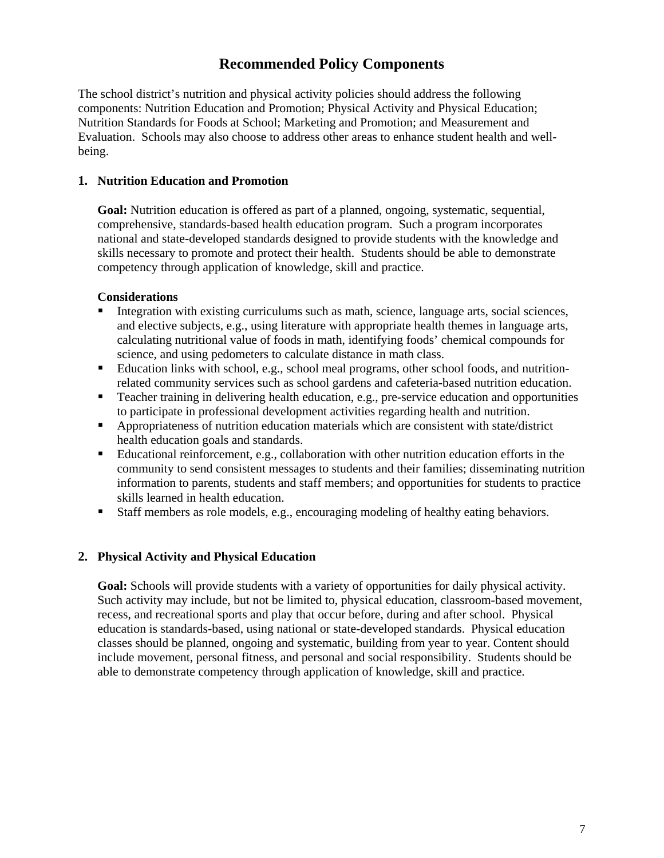# **Recommended Policy Components**

The school district's nutrition and physical activity policies should address the following components: Nutrition Education and Promotion; Physical Activity and Physical Education; Nutrition Standards for Foods at School; Marketing and Promotion; and Measurement and Evaluation. Schools may also choose to address other areas to enhance student health and wellbeing.

### **1. Nutrition Education and Promotion**

**Goal:** Nutrition education is offered as part of a planned, ongoing, systematic, sequential, comprehensive, standards-based health education program. Such a program incorporates national and state-developed standards designed to provide students with the knowledge and skills necessary to promote and protect their health. Students should be able to demonstrate competency through application of knowledge, skill and practice.

#### **Considerations**

- Integration with existing curriculums such as math, science, language arts, social sciences, and elective subjects, e.g., using literature with appropriate health themes in language arts, calculating nutritional value of foods in math, identifying foods' chemical compounds for science, and using pedometers to calculate distance in math class.
- Education links with school, e.g., school meal programs, other school foods, and nutritionrelated community services such as school gardens and cafeteria-based nutrition education.
- Teacher training in delivering health education, e.g., pre-service education and opportunities to participate in professional development activities regarding health and nutrition.
- ° Appropriateness of nutrition education materials which are consistent with state/district health education goals and standards.
- ° Educational reinforcement, e.g., collaboration with other nutrition education efforts in the community to send consistent messages to students and their families; disseminating nutrition information to parents, students and staff members; and opportunities for students to practice skills learned in health education.
- Staff members as role models, e.g., encouraging modeling of healthy eating behaviors.

### **2. Physical Activity and Physical Education**

**Goal:** Schools will provide students with a variety of opportunities for daily physical activity. Such activity may include, but not be limited to, physical education, classroom-based movement, recess, and recreational sports and play that occur before, during and after school. Physical education is standards-based, using national or state-developed standards. Physical education classes should be planned, ongoing and systematic, building from year to year. Content should include movement, personal fitness, and personal and social responsibility. Students should be able to demonstrate competency through application of knowledge, skill and practice.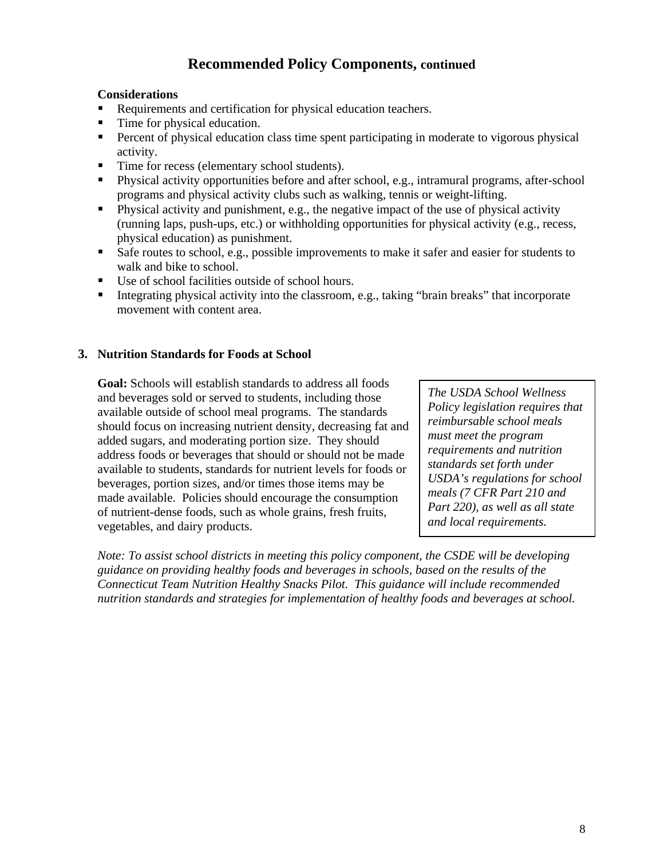# **Recommended Policy Components, continued**

### **Considerations**

- Requirements and certification for physical education teachers.
- Time for physical education.
- Percent of physical education class time spent participating in moderate to vigorous physical activity.
- Time for recess (elementary school students).
- ° Physical activity opportunities before and after school, e.g., intramural programs, after-school programs and physical activity clubs such as walking, tennis or weight-lifting.
- Physical activity and punishment, e.g., the negative impact of the use of physical activity (running laps, push-ups, etc.) or withholding opportunities for physical activity (e.g., recess, physical education) as punishment.
- Safe routes to school, e.g., possible improvements to make it safer and easier for students to walk and bike to school.
- Use of school facilities outside of school hours.
- Integrating physical activity into the classroom, e.g., taking "brain breaks" that incorporate movement with content area.

## **3. Nutrition Standards for Foods at School**

**Goal:** Schools will establish standards to address all foods and beverages sold or served to students, including those available outside of school meal programs. The standards should focus on increasing nutrient density, decreasing fat and added sugars, and moderating portion size. They should address foods or beverages that should or should not be made available to students, standards for nutrient levels for foods or beverages, portion sizes, and/or times those items may be made available. Policies should encourage the consumption of nutrient-dense foods, such as whole grains, fresh fruits, vegetables, and dairy products.

*The USDA School Wellness Policy legislation requires that reimbursable school meals must meet the program requirements and nutrition standards set forth under USDA's regulations for school meals (7 CFR Part 210 and Part 220), as well as all state and local requirements.* 

*Note: To assist school districts in meeting this policy component, the CSDE will be developing guidance on providing healthy foods and beverages in schools, based on the results of the Connecticut Team Nutrition Healthy Snacks Pilot. This guidance will include recommended nutrition standards and strategies for implementation of healthy foods and beverages at school.*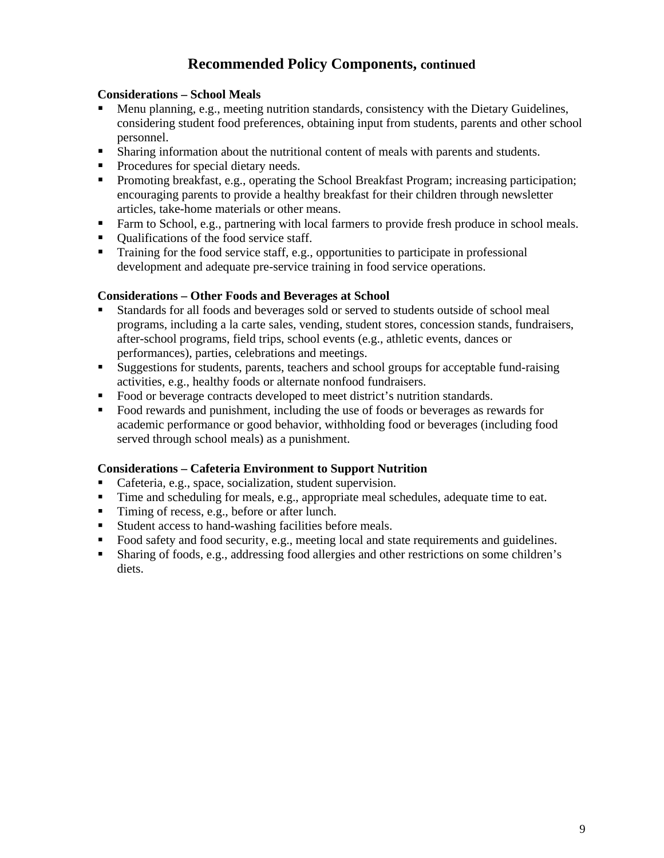# **Recommended Policy Components, continued**

## **Considerations – School Meals**

- ° Menu planning, e.g., meeting nutrition standards, consistency with the Dietary Guidelines, considering student food preferences, obtaining input from students, parents and other school personnel.
- Sharing information about the nutritional content of meals with parents and students.
- Procedures for special dietary needs.
- Promoting breakfast, e.g., operating the School Breakfast Program; increasing participation; encouraging parents to provide a healthy breakfast for their children through newsletter articles, take-home materials or other means.
- Farm to School, e.g., partnering with local farmers to provide fresh produce in school meals.
- Qualifications of the food service staff.
- Training for the food service staff, e.g., opportunities to participate in professional development and adequate pre-service training in food service operations.

### **Considerations – Other Foods and Beverages at School**

- Standards for all foods and beverages sold or served to students outside of school meal programs, including a la carte sales, vending, student stores, concession stands, fundraisers, after-school programs, field trips, school events (e.g., athletic events, dances or performances), parties, celebrations and meetings.
- Suggestions for students, parents, teachers and school groups for acceptable fund-raising activities, e.g., healthy foods or alternate nonfood fundraisers.
- Food or beverage contracts developed to meet district's nutrition standards.
- Food rewards and punishment, including the use of foods or beverages as rewards for academic performance or good behavior, withholding food or beverages (including food served through school meals) as a punishment.

### **Considerations – Cafeteria Environment to Support Nutrition**

- Cafeteria, e.g., space, socialization, student supervision.
- Time and scheduling for meals, e.g., appropriate meal schedules, adequate time to eat.
- Timing of recess, e.g., before or after lunch.
- Student access to hand-washing facilities before meals.
- Food safety and food security, e.g., meeting local and state requirements and guidelines.
- Sharing of foods, e.g., addressing food allergies and other restrictions on some children's diets.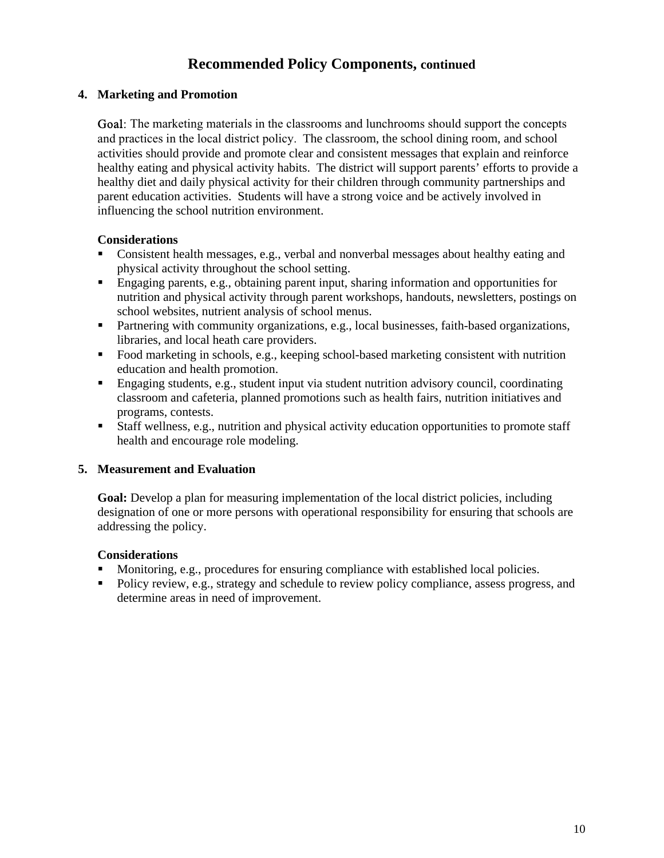# **Recommended Policy Components, continued**

## **4. Marketing and Promotion**

Goal: The marketing materials in the classrooms and lunchrooms should support the concepts and practices in the local district policy. The classroom, the school dining room, and school activities should provide and promote clear and consistent messages that explain and reinforce healthy eating and physical activity habits. The district will support parents' efforts to provide a healthy diet and daily physical activity for their children through community partnerships and parent education activities. Students will have a strong voice and be actively involved in influencing the school nutrition environment.

## **Considerations**

- Consistent health messages, e.g., verbal and nonverbal messages about healthy eating and physical activity throughout the school setting.
- ° Engaging parents, e.g., obtaining parent input, sharing information and opportunities for nutrition and physical activity through parent workshops, handouts, newsletters, postings on school websites, nutrient analysis of school menus.
- Partnering with community organizations, e.g., local businesses, faith-based organizations, libraries, and local heath care providers.
- Food marketing in schools, e.g., keeping school-based marketing consistent with nutrition education and health promotion.
- ° Engaging students, e.g., student input via student nutrition advisory council, coordinating classroom and cafeteria, planned promotions such as health fairs, nutrition initiatives and programs, contests.
- Staff wellness, e.g., nutrition and physical activity education opportunities to promote staff health and encourage role modeling.

### **5. Measurement and Evaluation**

**Goal:** Develop a plan for measuring implementation of the local district policies, including designation of one or more persons with operational responsibility for ensuring that schools are addressing the policy.

### **Considerations**

- Monitoring, e.g., procedures for ensuring compliance with established local policies.
- Policy review, e.g., strategy and schedule to review policy compliance, assess progress, and determine areas in need of improvement.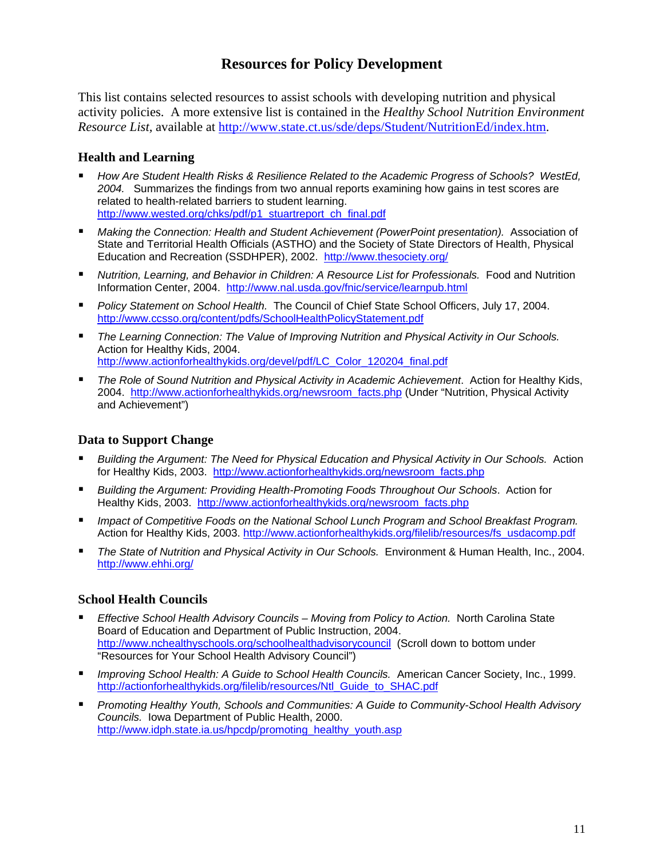# **Resources for Policy Development**

This list contains selected resources to assist schools with developing nutrition and physical activity policies. A more extensive list is contained in the *Healthy School Nutrition Environment Resource List,* available at [http://www.state.ct.us/sde/deps/Student/NutritionEd/index.htm.](http://www.state.ct.us/sde/deps/Student/NutritionEd/index.htm) 

## **Health and Learning**

- ° *How Are Student Health Risks & Resilience Related to the Academic Progress of Schools? WestEd, 2004.* Summarizes the findings from two annual reports examining how gains in test scores are related to health-related barriers to student learning. http://www.wested.org/chks/pdf/p1\_stuartreport\_ch\_final.pdf
- ° *Making the Connection: Health and Student Achievement (PowerPoint presentation).* Association of State and Territorial Health Officials (ASTHO) and the Society of State Directors of Health, Physical Education and Recreation (SSDHPER), 2002. <http://www.thesociety.org/>
- ° *Nutrition, Learning, and Behavior in Children: A Resource List for Professionals.* Food and Nutrition Information Center, 2004. <http://www.nal.usda.gov/fnic/service/learnpub.html>
- ° *Policy Statement on School Health.* The Council of Chief State School Officers, July 17, 2004. <http://www.ccsso.org/content/pdfs/SchoolHealthPolicyStatement.pdf>
- ° *The Learning Connection: The Value of Improving Nutrition and Physical Activity in Our Schools.*  Action for Healthy Kids, 2004. [http://www.actionforhealthykids.org/devel/pdf/LC\\_Color\\_120204\\_final.pdf](http://www.actionforhealthykids.org/devel/pdf/LC_Color_120204_final.pdf)
- ° *The Role of Sound Nutrition and Physical Activity in Academic Achievement*. Action for Healthy Kids, 2004. [http://www.actionforhealthykids.org/newsroom\\_facts.php](http://www.actionforhealthykids.org/newsroom_facts.php) (Under "Nutrition, Physical Activity and Achievement")

## **Data to Support Change**

- ° *Building the Argument: The Need for Physical Education and Physical Activity in Our Schools.* Action for Healthy Kids, 2003. http://www.actionforhealthykids.org/newsroom\_facts.php
- ° *Building the Argument: Providing Health-Promoting Foods Throughout Our Schools*. Action for Healthy Kids, 2003. [http://www.actionforhealthykids.org/newsroom\\_facts.php](http://www.actionforhealthykids.org/newsroom_facts.php)
- ° *Impact of Competitive Foods on the National School Lunch Program and School Breakfast Program.*  Action for Healthy Kids, 2003. [http://www.actionforhealthykids.org/filelib/resources/fs\\_usdacomp.pdf](http://www.actionforhealthykids.org/filelib/resources/fs_usdacomp.pdf)
- ° *The State of Nutrition and Physical Activity in Our Schools.* Environment & Human Health, Inc., 2004. <http://www.ehhi.org/>

## **School Health Councils**

- ° *Effective School Health Advisory Councils Moving from Policy to Action.* North Carolina State Board of Education and Department of Public Instruction, 2004. <http://www.nchealthyschools.org/schoolhealthadvisorycouncil> (Scroll down to bottom under "Resources for Your School Health Advisory Council")
- ° *Improving School Health: A Guide to School Health Councils.* American Cancer Society, Inc., 1999. [http://actionforhealthykids.org/filelib/resources/Ntl\\_Guide\\_to\\_SHAC.pdf](http://actionforhealthykids.org/filelib/resources/Ntl_Guide_to_SHAC.pdf)
- ° *Promoting Healthy Youth, Schools and Communities: A Guide to Community-School Health Advisory Councils.* Iowa Department of Public Health, 2000. http://www.idph.state.ia.us/hpcdp/promoting\_healthy\_youth.asp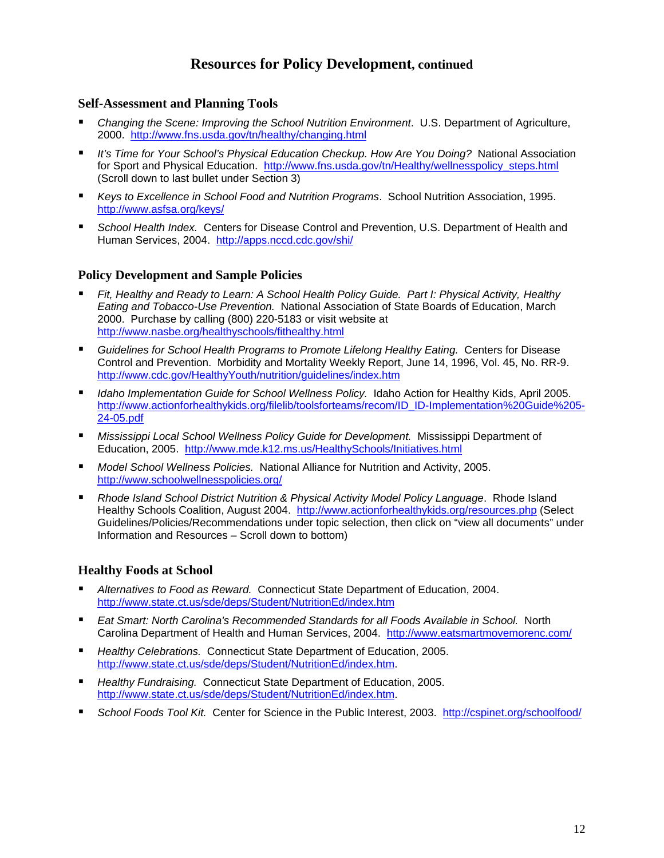# **Resources for Policy Development, continued**

#### **Self-Assessment and Planning Tools**

- ° *Changing the Scene: Improving the School Nutrition Environment*. U.S. Department of Agriculture, 2000. <http://www.fns.usda.gov/tn/healthy/changing.html>
- ° *It's Time for Your School's Physical Education Checkup. How Are You Doing?* National Association for Sport and Physical Education. [http://www.fns.usda.gov/tn/Healthy/wellnesspolicy\\_steps.html](http://www.fns.usda.gov/tn/Healthy/wellnesspolicy_steps.html) (Scroll down to last bullet under Section 3)
- ° *Keys to Excellence in School Food and Nutrition Programs*. School Nutrition Association, 1995. <http://www.asfsa.org/keys/>
- ° *School Health Index.* Centers for Disease Control and Prevention, U.S. Department of Health and Human Services, 2004. <http://apps.nccd.cdc.gov/shi/>

### **Policy Development and Sample Policies**

- ° *Fit, Healthy and Ready to Learn: A School Health Policy Guide. Part I: Physical Activity, Healthy Eating and Tobacco-Use Prevention.* National Association of State Boards of Education, March 2000. Purchase by calling (800) 220-5183 or visit website at <http://www.nasbe.org/healthyschools/fithealthy.html>
- ° *Guidelines for School Health Programs to Promote Lifelong Healthy Eating.* Centers for Disease Control and Prevention. Morbidity and Mortality Weekly Report, June 14, 1996, Vol. 45, No. RR-9. <http://www.cdc.gov/HealthyYouth/nutrition/guidelines/index.htm>
- ° *Idaho Implementation Guide for School Wellness Policy.* Idaho Action for Healthy Kids, April 2005. [http://www.actionforhealthykids.org/filelib/toolsforteams/recom/ID\\_ID-Implementation%20Guide%205-](http://www.actionforhealthykids.org/filelib/toolsforteams/recom/ID_ID-Implementation%20Guide%205-) 24-05.pdf
- ° *Mississippi Local School Wellness Policy Guide for Development.* Mississippi Department of Education, 2005. <http://www.mde.k12.ms.us/HealthySchools/Initiatives.html>
- ° *Model School Wellness Policies.* National Alliance for Nutrition and Activity, 2005. <http://www.schoolwellnesspolicies.org/>
- ° *Rhode Island School District Nutrition & Physical Activity Model Policy Language*. Rhode Island Healthy Schools Coalition, August 2004. <http://www.actionforhealthykids.org/resources.php> (Select Guidelines/Policies/Recommendations under topic selection, then click on "view all documents" under Information and Resources – Scroll down to bottom)

### **Healthy Foods at School**

- ° *Alternatives to Food as Reward.* Connecticut State Department of Education, 2004. <http://www.state.ct.us/sde/deps/Student/NutritionEd/index.htm>
- ° *Eat Smart: North Carolina's Recommended Standards for all Foods Available in School.* North Carolina Department of Health and Human Services, 2004. <http://www.eatsmartmovemorenc.com/>
- ° *Healthy Celebrations.* Connecticut State Department of Education, 2005. [http://www.state.ct.us/sde/deps/Student/NutritionEd/index.htm.](http://www.state.ct.us/sde/deps/Student/NutritionEd/index.htm)
- ° *Healthy Fundraising.* Connecticut State Department of Education, 2005. [http://www.state.ct.us/sde/deps/Student/NutritionEd/index.htm.](http://www.state.ct.us/sde/deps/Student/NutritionEd/index.htm)
- ° *School Foods Tool Kit.* Center for Science in the Public Interest, 2003. <http://cspinet.org/schoolfood/>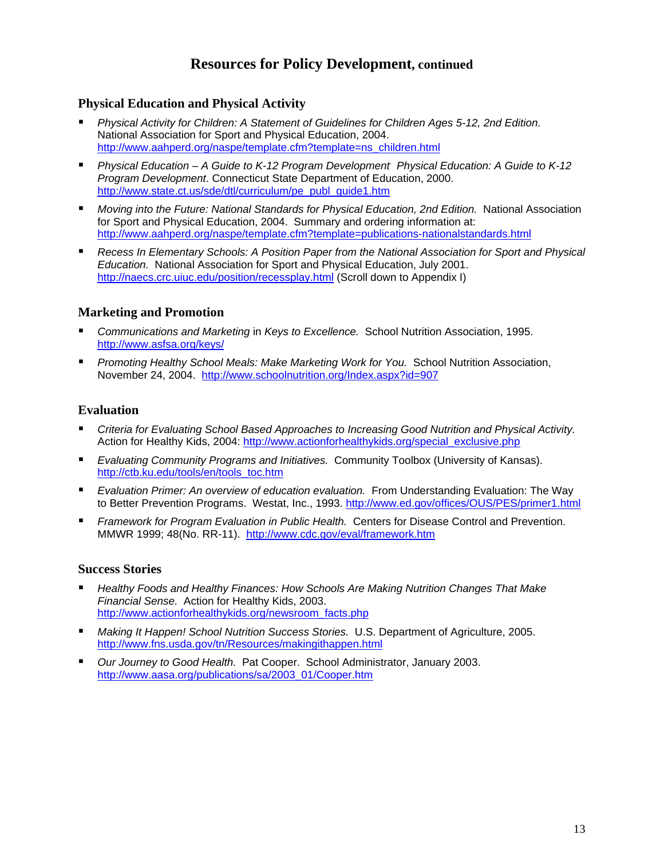# **Resources for Policy Development, continued**

### **Physical Education and Physical Activity**

- ° *Physical Activity for Children: A Statement of Guidelines for Children Ages 5-12, 2nd Edition.*  National Association for Sport and Physical Education, 2004. [http://www.aahperd.org/naspe/template.cfm?template=ns\\_children.html](http://www.aahperd.org/naspe/template.cfm?template=ns_children.html)
- ° *Physical Education A Guide to K-12 Program Development*. *Physical Education: A Guide to K-12 Program Development*. Connecticut State Department of Education, 2000. [http://www.state.ct.us/sde/dtl/curriculum/pe\\_publ\\_guide1.htm](http://www.state.ct.us/sde/dtl/curriculum/pe_publ_guide1.htm)
- ° *Moving into the Future: National Standards for Physical Education, 2nd Edition.* National Association for Sport and Physical Education, 2004. Summary and ordering information at: <http://www.aahperd.org/naspe/template.cfm?template=publications-nationalstandards.html>
- ° *Recess In Elementary Schools: A Position Paper from the National Association for Sport and Physical Education.* National Association for Sport and Physical Education, July 2001. <http://naecs.crc.uiuc.edu/position/recessplay.html>(Scroll down to Appendix I)

### **Marketing and Promotion**

- ° *Communications and Marketing* in *Keys to Excellence.* School Nutrition Association, 1995. <http://www.asfsa.org/keys/>
- ° *Promoting Healthy School Meals: Make Marketing Work for You.* School Nutrition Association, November 24, 2004. <http://www.schoolnutrition.org/Index.aspx?id=907>

#### **Evaluation**

- ° *Criteria for Evaluating School Based Approaches to Increasing Good Nutrition and Physical Activity.*  Action for Healthy Kids, 2004: http://www.actionforhealthykids.org/special\_exclusive.php
- ° *Evaluating Community Programs and Initiatives.* Community Toolbox (University of Kansas). [http://ctb.ku.edu/tools/en/tools\\_toc.htm](http://ctb.ku.edu/tools/en/tools_toc.htm)
- ° *Evaluation Primer: An overview of education evaluation.* From Understanding Evaluation: The Way to Better Prevention Programs. Westat, Inc., 1993. http://www.ed.gov/offices/OUS/PES/primer1.html
- ° *Framework for Program Evaluation in Public Health.* Centers for Disease Control and Prevention. MMWR 1999; 48(No. RR-11). <http://www.cdc.gov/eval/framework.htm>

#### **Success Stories**

- ° *Healthy Foods and Healthy Finances: How Schools Are Making Nutrition Changes That Make Financial Sense.* Action for Healthy Kids, 2003. [http://www.actionforhealthykids.org/newsroom\\_facts.php](http://www.actionforhealthykids.org/newsroom_facts.php)
- ° *Making It Happen! School Nutrition Success Stories.* U.S. Department of Agriculture, 2005. <http://www.fns.usda.gov/tn/Resources/makingithappen.html>
- ° *Our Journey to Good Health.* Pat Cooper. School Administrator, January 2003. [http://www.aasa.org/publications/sa/2003\\_01/Cooper.htm](http://www.aasa.org/publications/sa/2003_01/Cooper.htm)